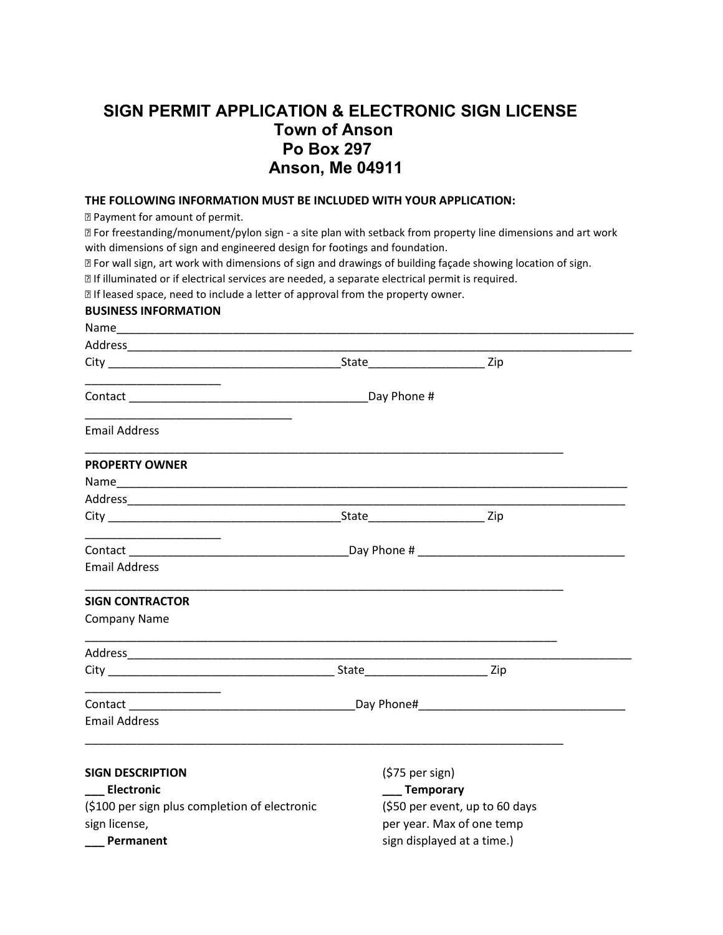## **SIGN PERMIT APPLICATION & ELECTRONIC SIGN LICENSE Town of Anson Po Box 297 Anson, Me 04911**

## **THE FOLLOWING INFORMATION MUST BE INCLUDED WITH YOUR APPLICATION:**

Payment for amount of permit.

 For freestanding/monument/pylon sign - a site plan with setback from property line dimensions and art work with dimensions of sign and engineered design for footings and foundation.

For wall sign, art work with dimensions of sign and drawings of building façade showing location of sign.

If illuminated or if electrical services are needed, a separate electrical permit is required.

**If leased space, need to include a letter of approval from the property owner.** 

## **BUSINESS INFORMATION**

| <b>Email Address</b>                                                                                                  |                                |  |
|-----------------------------------------------------------------------------------------------------------------------|--------------------------------|--|
| <b>PROPERTY OWNER</b>                                                                                                 |                                |  |
|                                                                                                                       |                                |  |
|                                                                                                                       |                                |  |
|                                                                                                                       |                                |  |
|                                                                                                                       |                                |  |
| <b>Email Address</b>                                                                                                  |                                |  |
| <b>SIGN CONTRACTOR</b>                                                                                                |                                |  |
| <b>Company Name</b>                                                                                                   |                                |  |
| <u> 1989 - Johann Harry Harry Harry Harry Harry Harry Harry Harry Harry Harry Harry Harry Harry Harry Harry Harry</u> |                                |  |
|                                                                                                                       |                                |  |
|                                                                                                                       |                                |  |
| <b>Email Address</b>                                                                                                  |                                |  |
|                                                                                                                       |                                |  |
| <b>SIGN DESCRIPTION</b>                                                                                               | $(575$ per sign)               |  |
| Electronic                                                                                                            | ___ Temporary                  |  |
| (\$100 per sign plus completion of electronic                                                                         | (\$50 per event, up to 60 days |  |
| sign license,                                                                                                         | per year. Max of one temp      |  |
| Permanent                                                                                                             | sign displayed at a time.)     |  |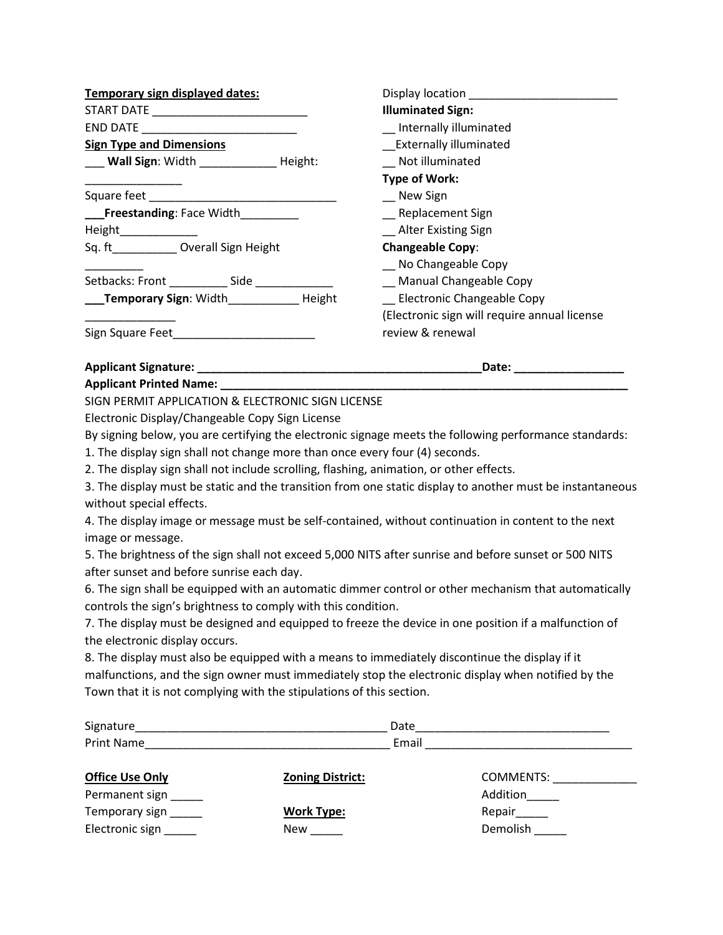| Temporary sign displayed dates:          | Display location Management Control Control Control Control Control Control Control Control Control Control Co |
|------------------------------------------|----------------------------------------------------------------------------------------------------------------|
|                                          | <b>Illuminated Sign:</b>                                                                                       |
| END DATE _______________________________ | _ Internally illuminated                                                                                       |
| <b>Sign Type and Dimensions</b>          | <b>Externally illuminated</b>                                                                                  |
| Wall Sign: Width Height:                 | Not illuminated                                                                                                |
|                                          | <b>Type of Work:</b>                                                                                           |
|                                          | New Sign                                                                                                       |
| ___Freestanding: Face Width              | _ Replacement Sign                                                                                             |
| Height______________                     | _ Alter Existing Sign                                                                                          |
| Sq. ft ____________ Overall Sign Height  | <b>Changeable Copy:</b>                                                                                        |
|                                          | No Changeable Copy                                                                                             |
|                                          | <b>Manual Changeable Copy</b>                                                                                  |
| <b>Temporary Sign: Width Height</b>      | <b>Electronic Changeable Copy</b>                                                                              |
|                                          | (Electronic sign will require annual license                                                                   |
|                                          | review & renewal                                                                                               |
| <b>Applicant Signature:</b>              | Date:                                                                                                          |

**Applicant Printed Name:** 

SIGN PERMIT APPLICATION & ELECTRONIC SIGN LICENSE

Electronic Display/Changeable Copy Sign License

By signing below, you are certifying the electronic signage meets the following performance standards:

1. The display sign shall not change more than once every four (4) seconds.

2. The display sign shall not include scrolling, flashing, animation, or other effects.

3. The display must be static and the transition from one static display to another must be instantaneous without special effects.

4. The display image or message must be self-contained, without continuation in content to the next image or message.

5. The brightness of the sign shall not exceed 5,000 NITS after sunrise and before sunset or 500 NITS after sunset and before sunrise each day.

6. The sign shall be equipped with an automatic dimmer control or other mechanism that automatically controls the sign's brightness to comply with this condition.

7. The display must be designed and equipped to freeze the device in one position if a malfunction of the electronic display occurs.

8. The display must also be equipped with a means to immediately discontinue the display if it malfunctions, and the sign owner must immediately stop the electronic display when notified by the Town that it is not complying with the stipulations of this section.

| Signature              |                         | Date             |
|------------------------|-------------------------|------------------|
| Print Name             |                         | Email            |
| <b>Office Use Only</b> | <b>Zoning District:</b> | <b>COMMENTS:</b> |
| Permanent sign         |                         | Addition         |
| Temporary sign         | <b>Work Type:</b>       | Repair           |
| Electronic sign        | <b>New</b>              | Demolish         |